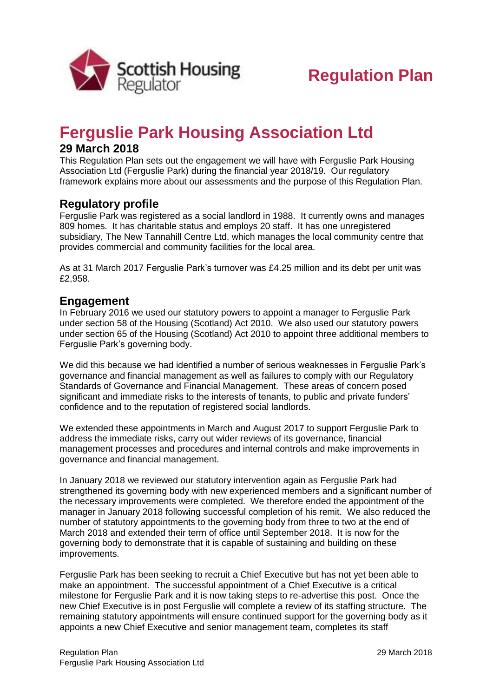

# **Ferguslie Park Housing Association Ltd**

## **29 March 2018**

This Regulation Plan sets out the engagement we will have with Ferguslie Park Housing Association Ltd (Ferguslie Park) during the financial year 2018/19. Our regulatory framework explains more about our assessments and the purpose of this Regulation Plan.

## **Regulatory profile**

Ferguslie Park was registered as a social landlord in 1988. It currently owns and manages 809 homes. It has charitable status and employs 20 staff. It has one unregistered subsidiary, The New Tannahill Centre Ltd, which manages the local community centre that provides commercial and community facilities for the local area.

As at 31 March 2017 Ferguslie Park's turnover was £4.25 million and its debt per unit was £2,958.

### **Engagement**

In February 2016 we used our statutory powers to appoint a manager to Ferguslie Park under section 58 of the Housing (Scotland) Act 2010. We also used our statutory powers under section 65 of the Housing (Scotland) Act 2010 to appoint three additional members to Ferguslie Park's governing body.

We did this because we had identified a number of serious weaknesses in Ferguslie Park's governance and financial management as well as failures to comply with our Regulatory Standards of Governance and Financial Management. These areas of concern posed significant and immediate risks to the interests of tenants, to public and private funders' confidence and to the reputation of registered social landlords.

We extended these appointments in March and August 2017 to support Ferguslie Park to address the immediate risks, carry out wider reviews of its governance, financial management processes and procedures and internal controls and make improvements in governance and financial management.

In January 2018 we reviewed our statutory intervention again as Ferguslie Park had strengthened its governing body with new experienced members and a significant number of the necessary improvements were completed. We therefore ended the appointment of the manager in January 2018 following successful completion of his remit. We also reduced the number of statutory appointments to the governing body from three to two at the end of March 2018 and extended their term of office until September 2018. It is now for the governing body to demonstrate that it is capable of sustaining and building on these improvements.

Ferguslie Park has been seeking to recruit a Chief Executive but has not yet been able to make an appointment. The successful appointment of a Chief Executive is a critical milestone for Ferguslie Park and it is now taking steps to re-advertise this post. Once the new Chief Executive is in post Ferguslie will complete a review of its staffing structure. The remaining statutory appointments will ensure continued support for the governing body as it appoints a new Chief Executive and senior management team, completes its staff